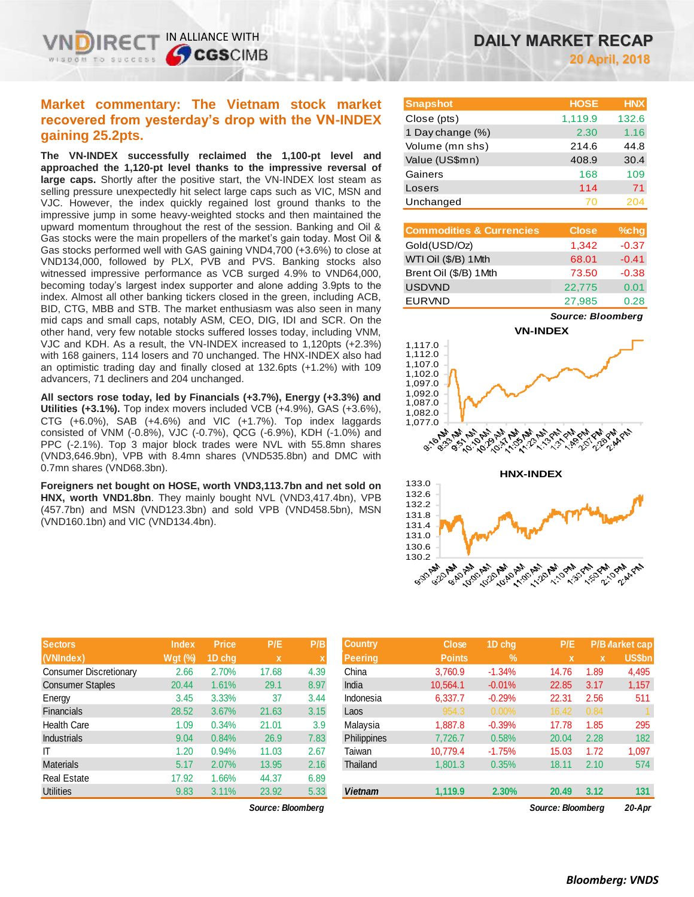# **Market commentary: The Vietnam stock market recovered from yesterday's drop with the VN-INDEX gaining 25.2pts.**

IN ALLIANCE WITH

TO SUCCESS

**SCGSCIMB** 

**The VN-INDEX successfully reclaimed the 1,100-pt level and approached the 1,120-pt level thanks to the impressive reversal of large caps.** Shortly after the positive start, the VN-INDEX lost steam as selling pressure unexpectedly hit select large caps such as VIC, MSN and VJC. However, the index quickly regained lost ground thanks to the impressive jump in some heavy-weighted stocks and then maintained the upward momentum throughout the rest of the session. Banking and Oil & Gas stocks were the main propellers of the market's gain today. Most Oil & Gas stocks performed well with GAS gaining VND4,700 (+3.6%) to close at VND134,000, followed by PLX, PVB and PVS. Banking stocks also witnessed impressive performance as VCB surged 4.9% to VND64,000, becoming today's largest index supporter and alone adding 3.9pts to the index. Almost all other banking tickers closed in the green, including ACB, BID, CTG, MBB and STB. The market enthusiasm was also seen in many mid caps and small caps, notably ASM, CEO, DIG, IDI and SCR. On the other hand, very few notable stocks suffered losses today, including VNM, VJC and KDH. As a result, the VN-INDEX increased to 1,120pts (+2.3%) with 168 gainers, 114 losers and 70 unchanged. The HNX-INDEX also had an optimistic trading day and finally closed at 132.6pts (+1.2%) with 109 advancers, 71 decliners and 204 unchanged.

**All sectors rose today, led by Financials (+3.7%), Energy (+3.3%) and Utilities (+3.1%).** Top index movers included VCB (+4.9%), GAS (+3.6%), CTG  $(+6.0\%)$ , SAB  $(+4.6\%)$  and VIC  $(+1.7\%)$ . Top index laggards consisted of VNM (-0.8%), VJC (-0.7%), QCG (-6.9%), KDH (-1.0%) and PPC (-2.1%). Top 3 major block trades were NVL with 55.8mn shares (VND3,646.9bn), VPB with 8.4mn shares (VND535.8bn) and DMC with 0.7mn shares (VND68.3bn).

**Foreigners net bought on HOSE, worth VND3,113.7bn and net sold on HNX, worth VND1.8bn**. They mainly bought NVL (VND3,417.4bn), VPB (457.7bn) and MSN (VND123.3bn) and sold VPB (VND458.5bn), MSN (VND160.1bn) and VIC (VND134.4bn).

| <b>Sectors</b>                | <b>Index</b> | <b>Price</b> | P/E         | P/B  |
|-------------------------------|--------------|--------------|-------------|------|
| (VNIndex)                     | $Wgt$ (%)    | 1D chq       | $\mathbf x$ | X    |
| <b>Consumer Discretionary</b> | 2.66         | 2.70%        | 17.68       | 4.39 |
| <b>Consumer Staples</b>       | 20.44        | 1.61%        | 29.1        | 8.97 |
| Energy                        | 3.45         | 3.33%        | 37          | 3.44 |
| <b>Financials</b>             | 28.52        | 3.67%        | 21.63       | 3.15 |
| <b>Health Care</b>            | 1.09         | 0.34%        | 21.01       | 3.9  |
| <b>Industrials</b>            | 9.04         | 0.84%        | 26.9        | 7.83 |
| IΤ                            | 1.20         | 0.94%        | 11.03       | 2.67 |
| <b>Materials</b>              | 5.17         | 2.07%        | 13.95       | 2.16 |
| <b>Real Estate</b>            | 17.92        | 1.66%        | 44.37       | 6.89 |
| <b>Utilities</b>              | 9.83         | 3.11%        | 23.92       | 5.33 |

 $Source: Bloomberg$ 

| <b>Snapshot</b>  | <b>HOSE</b> | <b>HNX</b> |
|------------------|-------------|------------|
| Close (pts)      | 1,119.9     | 132.6      |
| 1 Day change (%) | 2.30        | 1.16       |
| Volume (mn shs)  | 214.6       | 44.8       |
| Value (US\$mn)   | 408.9       | 30.4       |
| Gainers          | 168         | 109        |
| Losers           | 114         | 71         |
| Unchanged        | 70          | 204        |

| <b>Commodities &amp; Currencies</b> | <b>Close</b> | $%$ chg |
|-------------------------------------|--------------|---------|
| Gold(USD/Oz)                        | 1,342        | $-0.37$ |
| WTI Oil (\$/B) 1Mth                 | 68.01        | $-0.41$ |
| Brent Oil (\$/B) 1Mth               | 73.50        | $-0.38$ |
| <b>USDVND</b>                       | 22,775       | 0.01    |
| <b>EURVND</b>                       | 27,985       | 0.28    |

*Source: Bloomberg*





| <b>Sectors</b>         | <b>Index</b>   | <b>Price</b> | P/E               | P/B  | <b>Country</b> | <b>Close</b>  | 1D chq   | P/E               |      | <b>P/B Warket cap</b> |
|------------------------|----------------|--------------|-------------------|------|----------------|---------------|----------|-------------------|------|-----------------------|
| (VNIndex)              | <b>Wat (%)</b> | 1D chq       | $\mathbf x$       |      | <b>Peering</b> | <b>Points</b> | $\%$     | $\mathbf x$       | x    | US\$bn                |
| Consumer Discretionary | 2.66           | 2.70%        | 17.68             | 4.39 | China          | 3.760.9       | $-1.34%$ | 14.76             | 1.89 | 4,495                 |
| Consumer Staples       | 20.44          | 1.61%        | 29.1              | 8.97 | India          | 10.564.1      | $-0.01%$ | 22.85             | 3.17 | 1,157                 |
| Energy                 | 3.45           | 3.33%        | 37                | 3.44 | Indonesia      | 6,337.7       | $-0.29%$ | 22.31             | 2.56 | 511                   |
| Financials             | 28.52          | 3.67%        | 21.63             | 3.15 | Laos           | 954.3         | 0.00%    | 16.42             | 0.84 |                       |
| Health Care            | 1.09           | 0.34%        | 21.01             | 3.9  | Malaysia       | 1.887.8       | $-0.39%$ | 17.78             | 1.85 | 295                   |
| Industrials            | 9.04           | 0.84%        | 26.9              | 7.83 | Philippines    | 7,726.7       | 0.58%    | 20.04             | 2.28 | 182                   |
|                        | 1.20           | 0.94%        | 11.03             | 2.67 | Taiwan         | 10.779.4      | $-1.75%$ | 15.03             | 1.72 | 1,097                 |
| Materials              | 5.17           | 2.07%        | 13.95             | 2.16 | Thailand       | 1,801.3       | 0.35%    | 18.11             | 2.10 | 574                   |
| Real Estate            | 17.92          | 1.66%        | 44.37             | 6.89 |                |               |          |                   |      |                       |
| <b>Utilities</b>       | 9.83           | 3.11%        | 23.92             | 5.33 | <b>Vietnam</b> | 1,119.9       | 2.30%    | 20.49             | 3.12 | 131                   |
|                        |                |              | Source: Bloomberg |      |                |               |          | Source: Bloomberg |      | 20-Apr                |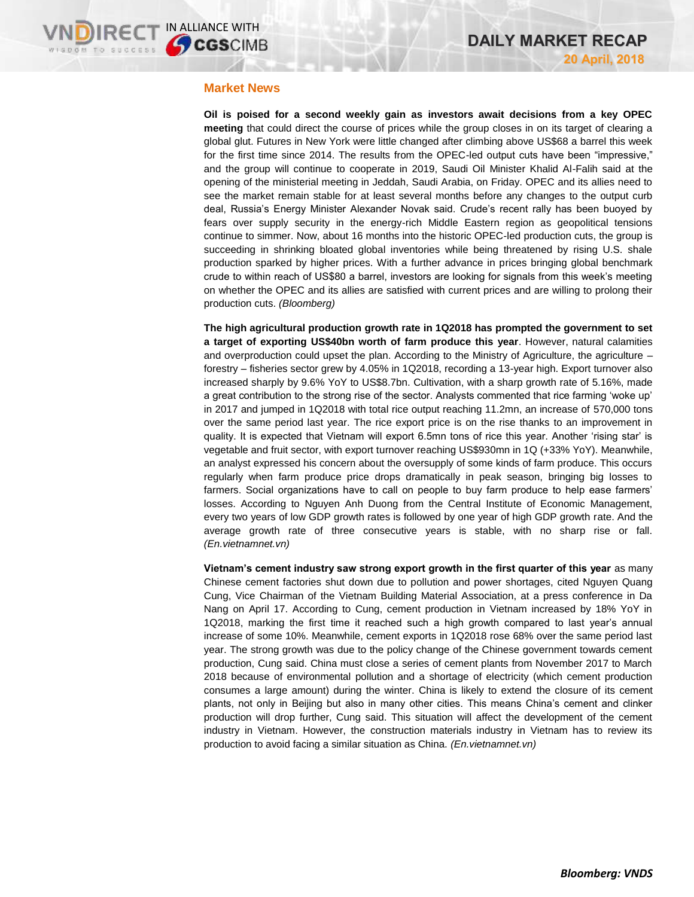### **Market News**

**Oil is poised for a second weekly gain as investors await decisions from a key OPEC meeting** that could direct the course of prices while the group closes in on its target of clearing a global glut. Futures in New York were little changed after climbing above US\$68 a barrel this week for the first time since 2014. The results from the OPEC-led output cuts have been "impressive," and the group will continue to cooperate in 2019, Saudi Oil Minister Khalid Al-Falih said at the opening of the ministerial meeting in Jeddah, Saudi Arabia, on Friday. OPEC and its allies need to see the market remain stable for at least several months before any changes to the output curb deal, Russia's Energy Minister Alexander Novak said. Crude's recent rally has been buoyed by fears over supply security in the energy-rich Middle Eastern region as geopolitical tensions continue to simmer. Now, about 16 months into the historic OPEC-led production cuts, the group is succeeding in shrinking bloated global inventories while being threatened by rising U.S. shale production sparked by higher prices. With a further advance in prices bringing global benchmark crude to within reach of US\$80 a barrel, investors are looking for signals from this week's meeting on whether the OPEC and its allies are satisfied with current prices and are willing to prolong their production cuts. *(Bloomberg)*

**The high agricultural production growth rate in 1Q2018 has prompted the government to set a target of exporting US\$40bn worth of farm produce this year**. However, natural calamities and overproduction could upset the plan. According to the Ministry of Agriculture, the agriculture – forestry – fisheries sector grew by 4.05% in 1Q2018, recording a 13-year high. Export turnover also increased sharply by 9.6% YoY to US\$8.7bn. Cultivation, with a sharp growth rate of 5.16%, made a great contribution to the strong rise of the sector. Analysts commented that rice farming 'woke up' in 2017 and jumped in 1Q2018 with total rice output reaching 11.2mn, an increase of 570,000 tons over the same period last year. The rice export price is on the rise thanks to an improvement in quality. It is expected that Vietnam will export 6.5mn tons of rice this year. Another 'rising star' is vegetable and fruit sector, with export turnover reaching US\$930mn in 1Q (+33% YoY). Meanwhile, an analyst expressed his concern about the oversupply of some kinds of farm produce. This occurs regularly when farm produce price drops dramatically in peak season, bringing big losses to farmers. Social organizations have to call on people to buy farm produce to help ease farmers' losses. According to Nguyen Anh Duong from the Central Institute of Economic Management, every two years of low GDP growth rates is followed by one year of high GDP growth rate. And the average growth rate of three consecutive years is stable, with no sharp rise or fall. *(En.vietnamnet.vn)*

**Vietnam's cement industry saw strong export growth in the first quarter of this year** as many Chinese cement factories shut down due to pollution and power shortages, cited Nguyen Quang Cung, Vice Chairman of the Vietnam Building Material Association, at a press conference in Da Nang on April 17. According to Cung, cement production in Vietnam increased by 18% YoY in 1Q2018, marking the first time it reached such a high growth compared to last year's annual increase of some 10%. Meanwhile, cement exports in 1Q2018 rose 68% over the same period last year. The strong growth was due to the policy change of the Chinese government towards cement production, Cung said. China must close a series of cement plants from November 2017 to March 2018 because of environmental pollution and a shortage of electricity (which cement production consumes a large amount) during the winter. China is likely to extend the closure of its cement plants, not only in Beijing but also in many other cities. This means China's cement and clinker production will drop further, Cung said. This situation will affect the development of the cement industry in Vietnam. However, the construction materials industry in Vietnam has to review its production to avoid facing a similar situation as China. *(En.vietnamnet.vn)*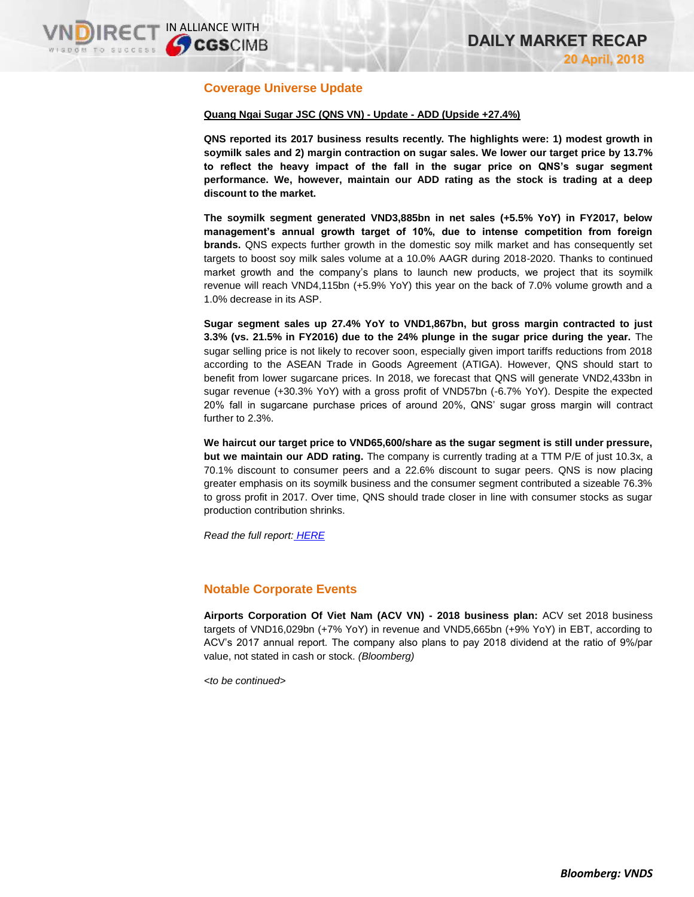# **Coverage Universe Update**

### **Quang Ngai Sugar JSC (QNS VN) - Update - ADD (Upside +27.4%)**

**QNS reported its 2017 business results recently. The highlights were: 1) modest growth in soymilk sales and 2) margin contraction on sugar sales. We lower our target price by 13.7% to reflect the heavy impact of the fall in the sugar price on QNS's sugar segment performance. We, however, maintain our ADD rating as the stock is trading at a deep discount to the market.**

**The soymilk segment generated VND3,885bn in net sales (+5.5% YoY) in FY2017, below management's annual growth target of 10%, due to intense competition from foreign brands.** QNS expects further growth in the domestic soy milk market and has consequently set targets to boost soy milk sales volume at a 10.0% AAGR during 2018-2020. Thanks to continued market growth and the company's plans to launch new products, we project that its soymilk revenue will reach VND4,115bn (+5.9% YoY) this year on the back of 7.0% volume growth and a 1.0% decrease in its ASP.

**Sugar segment sales up 27.4% YoY to VND1,867bn, but gross margin contracted to just 3.3% (vs. 21.5% in FY2016) due to the 24% plunge in the sugar price during the year.** The sugar selling price is not likely to recover soon, especially given import tariffs reductions from 2018 according to the ASEAN Trade in Goods Agreement (ATIGA). However, QNS should start to benefit from lower sugarcane prices. In 2018, we forecast that QNS will generate VND2,433bn in sugar revenue (+30.3% YoY) with a gross profit of VND57bn (-6.7% YoY). Despite the expected 20% fall in sugarcane purchase prices of around 20%, QNS' sugar gross margin will contract further to 2.3%.

**We haircut our target price to VND65,600/share as the sugar segment is still under pressure, but we maintain our ADD rating.** The company is currently trading at a TTM P/E of just 10.3x, a 70.1% discount to consumer peers and a 22.6% discount to sugar peers. QNS is now placing greater emphasis on its soymilk business and the consumer segment contributed a sizeable 76.3% to gross profit in 2017. Over time, QNS should trade closer in line with consumer stocks as sugar production contribution shrinks.

*Read the full report: [HERE](https://static-02.vndirect.com.vn/uploads/prod/QNS_Update_20180420_.pdf)*

## **Notable Corporate Events**

**Airports Corporation Of Viet Nam (ACV VN) - 2018 business plan:** ACV set 2018 business targets of VND16,029bn (+7% YoY) in revenue and VND5,665bn (+9% YoY) in EBT, according to ACV's 2017 annual report. The company also plans to pay 2018 dividend at the ratio of 9%/par value, not stated in cash or stock. *(Bloomberg)*

*<to be continued>*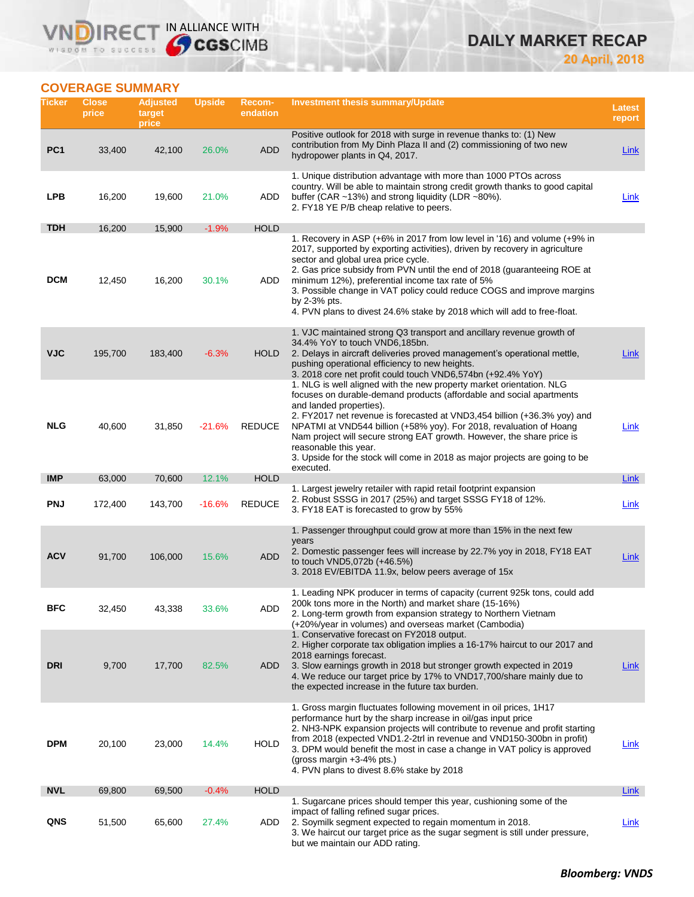## **IRECT IN ALLIANCE WITH** VND WISDOM TO SUCCESS

# **DAILY MARKET RECAP 20 April, 2018**

## **COVERAGE SUMMARY**

| Ticker          | <b>Close</b><br>price | <b>Adjusted</b><br>target<br>price | <b>Upside</b> | <b>Recom-</b><br>endation | <b>Investment thesis summary/Update</b>                                                                                                                                                                                                                                                                                                                                                                                                                                                                                   | <b>Latest</b><br>report |
|-----------------|-----------------------|------------------------------------|---------------|---------------------------|---------------------------------------------------------------------------------------------------------------------------------------------------------------------------------------------------------------------------------------------------------------------------------------------------------------------------------------------------------------------------------------------------------------------------------------------------------------------------------------------------------------------------|-------------------------|
| PC <sub>1</sub> | 33,400                | 42,100                             | 26.0%         | <b>ADD</b>                | Positive outlook for 2018 with surge in revenue thanks to: (1) New<br>contribution from My Dinh Plaza II and (2) commissioning of two new<br>hydropower plants in Q4, 2017.                                                                                                                                                                                                                                                                                                                                               | Link                    |
| <b>LPB</b>      | 16,200                | 19,600                             | 21.0%         | ADD                       | 1. Unique distribution advantage with more than 1000 PTOs across<br>country. Will be able to maintain strong credit growth thanks to good capital<br>buffer (CAR ~13%) and strong liquidity (LDR ~80%).<br>2. FY18 YE P/B cheap relative to peers.                                                                                                                                                                                                                                                                        | Link                    |
| <b>TDH</b>      | 16,200                | 15,900                             | $-1.9%$       | <b>HOLD</b>               |                                                                                                                                                                                                                                                                                                                                                                                                                                                                                                                           |                         |
| <b>DCM</b>      | 12,450                | 16,200                             | 30.1%         | ADD                       | 1. Recovery in ASP (+6% in 2017 from low level in '16) and volume (+9% in<br>2017, supported by exporting activities), driven by recovery in agriculture<br>sector and global urea price cycle.<br>2. Gas price subsidy from PVN until the end of 2018 (guaranteeing ROE at<br>minimum 12%), preferential income tax rate of 5%<br>3. Possible change in VAT policy could reduce COGS and improve margins<br>by $2-3\%$ pts.<br>4. PVN plans to divest 24.6% stake by 2018 which will add to free-float.                  |                         |
| <b>VJC</b>      | 195,700               | 183,400                            | $-6.3%$       | <b>HOLD</b>               | 1. VJC maintained strong Q3 transport and ancillary revenue growth of<br>34.4% YoY to touch VND6.185bn.<br>2. Delays in aircraft deliveries proved management's operational mettle,<br>pushing operational efficiency to new heights.<br>3. 2018 core net profit could touch VND6,574bn (+92.4% YoY)                                                                                                                                                                                                                      | Link                    |
| <b>NLG</b>      | 40,600                | 31,850                             | $-21.6%$      | <b>REDUCE</b>             | 1. NLG is well aligned with the new property market orientation. NLG<br>focuses on durable-demand products (affordable and social apartments<br>and landed properties).<br>2. FY2017 net revenue is forecasted at VND3,454 billion (+36.3% yoy) and<br>NPATMI at VND544 billion (+58% yoy). For 2018, revaluation of Hoang<br>Nam project will secure strong EAT growth. However, the share price is<br>reasonable this year.<br>3. Upside for the stock will come in 2018 as major projects are going to be<br>executed. | <u>Link</u>             |
| <b>IMP</b>      | 63,000                | 70,600                             | 12.1%         | <b>HOLD</b>               |                                                                                                                                                                                                                                                                                                                                                                                                                                                                                                                           | Link                    |
| <b>PNJ</b>      | 172,400               | 143,700                            | $-16.6%$      | <b>REDUCE</b>             | 1. Largest jewelry retailer with rapid retail footprint expansion<br>2. Robust SSSG in 2017 (25%) and target SSSG FY18 of 12%.<br>3. FY18 EAT is forecasted to grow by 55%                                                                                                                                                                                                                                                                                                                                                | <b>Link</b>             |
| <b>ACV</b>      | 91,700                | 106,000                            | 15.6%         | <b>ADD</b>                | 1. Passenger throughput could grow at more than 15% in the next few<br>years<br>2. Domestic passenger fees will increase by 22.7% yoy in 2018, FY18 EAT<br>to touch VND5,072b (+46.5%)<br>3. 2018 EV/EBITDA 11.9x, below peers average of 15x                                                                                                                                                                                                                                                                             | Link                    |
| BFC             | 32,450                | 43,338                             | 33.6%         | ADD                       | 1. Leading NPK producer in terms of capacity (current 925k tons, could add<br>200k tons more in the North) and market share (15-16%)<br>2. Long-term growth from expansion strategy to Northern Vietnam<br>(+20%/year in volumes) and overseas market (Cambodia)<br>1. Conservative forecast on FY2018 output.<br>2. Higher corporate tax obligation implies a 16-17% haircut to our 2017 and                                                                                                                             |                         |
| <b>DRI</b>      | 9,700                 | 17,700                             | 82.5%         | ADD                       | 2018 earnings forecast.<br>3. Slow earnings growth in 2018 but stronger growth expected in 2019<br>4. We reduce our target price by 17% to VND17,700/share mainly due to<br>the expected increase in the future tax burden.                                                                                                                                                                                                                                                                                               | <b>Link</b>             |
| <b>DPM</b>      | 20,100                | 23,000                             | 14.4%         | <b>HOLD</b>               | 1. Gross margin fluctuates following movement in oil prices, 1H17<br>performance hurt by the sharp increase in oil/gas input price<br>2. NH3-NPK expansion projects will contribute to revenue and profit starting<br>from 2018 (expected VND1.2-2trl in revenue and VND150-300bn in profit)<br>3. DPM would benefit the most in case a change in VAT policy is approved<br>(gross margin $+3-4%$ pts.)<br>4. PVN plans to divest 8.6% stake by 2018                                                                      | <u>Link</u>             |
| <b>NVL</b>      | 69,800                | 69,500                             | $-0.4%$       | <b>HOLD</b>               |                                                                                                                                                                                                                                                                                                                                                                                                                                                                                                                           | Link                    |
| QNS             | 51,500                | 65,600                             | 27.4%         | ADD                       | 1. Sugarcane prices should temper this year, cushioning some of the<br>impact of falling refined sugar prices.<br>2. Soymilk segment expected to regain momentum in 2018.<br>3. We haircut our target price as the sugar segment is still under pressure,<br>but we maintain our ADD rating.                                                                                                                                                                                                                              | <b>Link</b>             |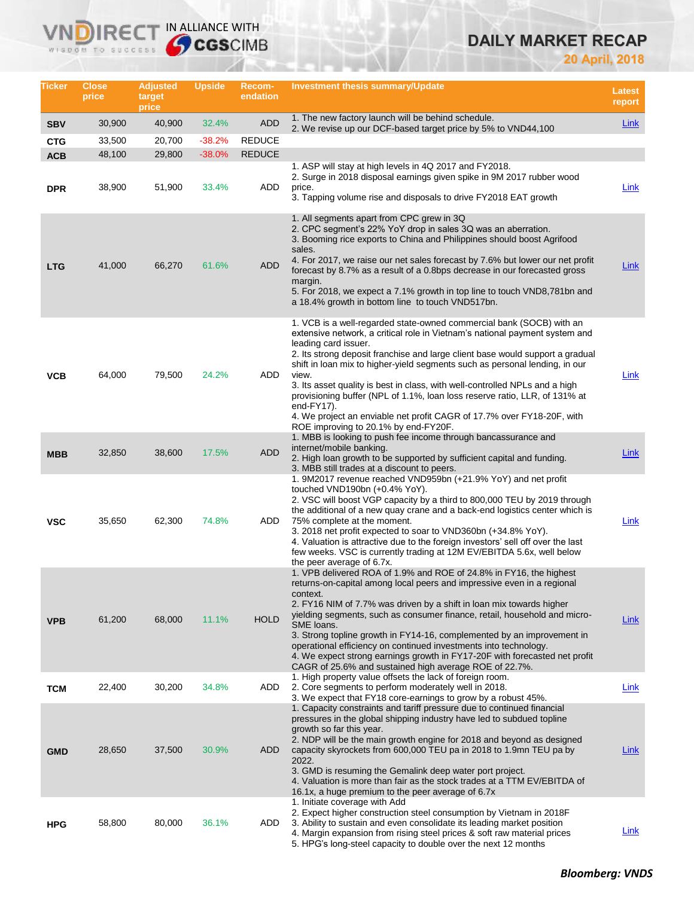# **DAILY MARKET RECAP**

**20 April, 2018**

| Ticker                   | <b>Close</b><br>price | <b>Adjusted</b><br>target<br>price | Upside            | Recom-<br>endation          | <b>Investment thesis summary/Update</b>                                                                                                                                                                                                                                                                                                                                                                                                                                                                                                                                                                                                           | <b>Latest</b><br>report |
|--------------------------|-----------------------|------------------------------------|-------------------|-----------------------------|---------------------------------------------------------------------------------------------------------------------------------------------------------------------------------------------------------------------------------------------------------------------------------------------------------------------------------------------------------------------------------------------------------------------------------------------------------------------------------------------------------------------------------------------------------------------------------------------------------------------------------------------------|-------------------------|
| <b>SBV</b>               | 30,900                | 40,900                             | 32.4%             | <b>ADD</b>                  | 1. The new factory launch will be behind schedule.<br>2. We revise up our DCF-based target price by 5% to VND44,100                                                                                                                                                                                                                                                                                                                                                                                                                                                                                                                               | Link                    |
| <b>CTG</b>               | 33,500                | 20,700                             | $-38.2%$          | <b>REDUCE</b>               |                                                                                                                                                                                                                                                                                                                                                                                                                                                                                                                                                                                                                                                   |                         |
| <b>ACB</b><br><b>DPR</b> | 48,100<br>38,900      | 29,800<br>51,900                   | $-38.0%$<br>33.4% | <b>REDUCE</b><br><b>ADD</b> | 1. ASP will stay at high levels in 4Q 2017 and FY2018.<br>2. Surge in 2018 disposal earnings given spike in 9M 2017 rubber wood<br>price.<br>3. Tapping volume rise and disposals to drive FY2018 EAT growth                                                                                                                                                                                                                                                                                                                                                                                                                                      | Link                    |
| <b>LTG</b>               | 41,000                | 66,270                             | 61.6%             | ADD                         | 1. All segments apart from CPC grew in 3Q<br>2. CPC segment's 22% YoY drop in sales 3Q was an aberration.<br>3. Booming rice exports to China and Philippines should boost Agrifood<br>sales.<br>4. For 2017, we raise our net sales forecast by 7.6% but lower our net profit<br>forecast by 8.7% as a result of a 0.8bps decrease in our forecasted gross<br>margin.<br>5. For 2018, we expect a 7.1% growth in top line to touch VND8,781bn and<br>a 18.4% growth in bottom line to touch VND517bn.                                                                                                                                            | Link                    |
| <b>VCB</b>               | 64,000                | 79,500                             | 24.2%             | ADD                         | 1. VCB is a well-regarded state-owned commercial bank (SOCB) with an<br>extensive network, a critical role in Vietnam's national payment system and<br>leading card issuer.<br>2. Its strong deposit franchise and large client base would support a gradual<br>shift in loan mix to higher-yield segments such as personal lending, in our<br>view.<br>3. Its asset quality is best in class, with well-controlled NPLs and a high<br>provisioning buffer (NPL of 1.1%, loan loss reserve ratio, LLR, of 131% at<br>end-FY17).<br>4. We project an enviable net profit CAGR of 17.7% over FY18-20F, with<br>ROE improving to 20.1% by end-FY20F. | Link                    |
| <b>MBB</b>               | 32,850                | 38,600                             | 17.5%             | ADD                         | 1. MBB is looking to push fee income through bancassurance and<br>internet/mobile banking.<br>2. High loan growth to be supported by sufficient capital and funding.<br>3. MBB still trades at a discount to peers.                                                                                                                                                                                                                                                                                                                                                                                                                               | Link                    |
| <b>VSC</b>               | 35,650                | 62,300                             | 74.8%             | ADD                         | 1. 9M2017 revenue reached VND959bn (+21.9% YoY) and net profit<br>touched VND190bn (+0.4% YoY).<br>2. VSC will boost VGP capacity by a third to 800,000 TEU by 2019 through<br>the additional of a new quay crane and a back-end logistics center which is<br>75% complete at the moment.<br>3. 2018 net profit expected to soar to VND360bn (+34.8% YoY).<br>4. Valuation is attractive due to the foreign investors' sell off over the last<br>few weeks. VSC is currently trading at 12M EV/EBITDA 5.6x, well below<br>the peer average of 6.7x.                                                                                               | Link                    |
| <b>VPB</b>               | 61,200                | 68,000                             | 11.1%             | <b>HOLD</b>                 | 1. VPB delivered ROA of 1.9% and ROE of 24.8% in FY16, the highest<br>returns-on-capital among local peers and impressive even in a regional<br>context.<br>2. FY16 NIM of 7.7% was driven by a shift in loan mix towards higher<br>yielding segments, such as consumer finance, retail, household and micro-<br>SME loans.<br>3. Strong topline growth in FY14-16, complemented by an improvement in<br>operational efficiency on continued investments into technology.<br>4. We expect strong earnings growth in FY17-20F with forecasted net profit<br>CAGR of 25.6% and sustained high average ROE of 22.7%.                                 | <u>Link</u>             |
| <b>TCM</b>               | 22,400                | 30,200                             | 34.8%             | ADD                         | 1. High property value offsets the lack of foreign room.<br>2. Core segments to perform moderately well in 2018.<br>3. We expect that FY18 core-earnings to grow by a robust 45%.                                                                                                                                                                                                                                                                                                                                                                                                                                                                 | Link                    |
| <b>GMD</b>               | 28,650                | 37,500                             | 30.9%             | ADD                         | 1. Capacity constraints and tariff pressure due to continued financial<br>pressures in the global shipping industry have led to subdued topline<br>growth so far this year.<br>2. NDP will be the main growth engine for 2018 and beyond as designed<br>capacity skyrockets from 600,000 TEU pa in 2018 to 1.9mn TEU pa by<br>2022.<br>3. GMD is resuming the Gemalink deep water port project.<br>4. Valuation is more than fair as the stock trades at a TTM EV/EBITDA of<br>16.1x, a huge premium to the peer average of 6.7x                                                                                                                  | <b>Link</b>             |
| <b>HPG</b>               | 58,800                | 80,000                             | 36.1%             | ADD                         | 1. Initiate coverage with Add<br>2. Expect higher construction steel consumption by Vietnam in 2018 F<br>3. Ability to sustain and even consolidate its leading market position<br>4. Margin expansion from rising steel prices & soft raw material prices<br>5. HPG's long-steel capacity to double over the next 12 months                                                                                                                                                                                                                                                                                                                      | <b>Link</b>             |

**VNDIRECT IN ALLIANCE WITH**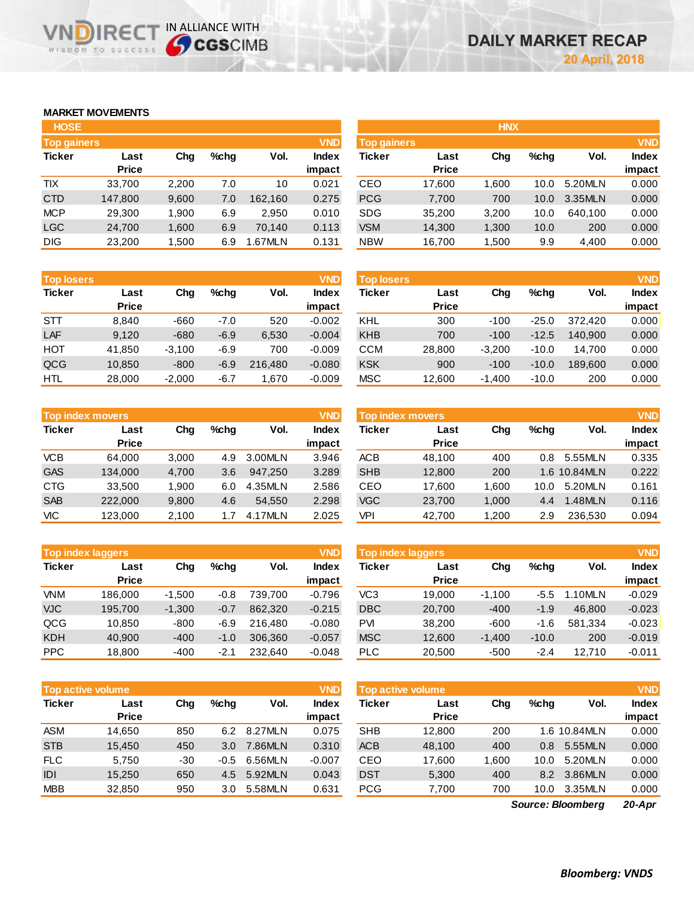## **MARKET MOVEMENTS**

| <b>HOSE</b>        |              |       |      |         |              |
|--------------------|--------------|-------|------|---------|--------------|
| <b>Top gainers</b> |              |       |      |         | <b>VND</b>   |
| <b>Ticker</b>      | Last         | Cha   | %chq | Vol.    | <b>Index</b> |
|                    | <b>Price</b> |       |      |         | impact       |
| <b>TIX</b>         | 33,700       | 2,200 | 7.0  | 10      | 0.021        |
| <b>CTD</b>         | 147,800      | 9,600 | 7.0  | 162,160 | 0.275        |
| <b>MCP</b>         | 29,300       | 1,900 | 6.9  | 2,950   | 0.010        |
| <b>LGC</b>         | 24,700       | 1,600 | 6.9  | 70,140  | 0.113        |
| <b>DIG</b>         | 23,200       | 1,500 | 6.9  | 1.67MLN | 0.131        |

**VNDIRECT IN ALLIANCE WITH** 

| <b>Top losers</b> |              |          |        |         | <b>VND</b>   |
|-------------------|--------------|----------|--------|---------|--------------|
| <b>Ticker</b>     | Last         | Cha      | %chq   | Vol.    | <b>Index</b> |
|                   | <b>Price</b> |          |        |         | impact       |
| <b>STT</b>        | 8.840        | -660     | -7.0   | 520     | $-0.002$     |
| LAF               | 9,120        | $-680$   | $-6.9$ | 6,530   | $-0.004$     |
| HOT               | 41,850       | $-3,100$ | $-6.9$ | 700     | $-0.009$     |
| QCG               | 10,850       | $-800$   | $-6.9$ | 216,480 | $-0.080$     |
| HTL               | 28,000       | $-2,000$ | -6.7   | 1,670   | $-0.009$     |

|               | <b>Top index movers</b> |       |      |         | <b>VND</b>   |
|---------------|-------------------------|-------|------|---------|--------------|
| <b>Ticker</b> | Last                    | Cha   | %chq | Vol.    | <b>Index</b> |
|               | <b>Price</b>            |       |      |         | impact       |
| <b>VCB</b>    | 64,000                  | 3,000 | 4.9  | 3.00MLN | 3.946        |
| <b>GAS</b>    | 134,000                 | 4,700 | 3.6  | 947,250 | 3.289        |
| <b>CTG</b>    | 33,500                  | 1,900 | 6.0  | 4.35MLN | 2.586        |
| <b>SAB</b>    | 222,000                 | 9,800 | 4.6  | 54,550  | 2.298        |
| <b>VIC</b>    | 123,000                 | 2,100 | 1.7  | 4.17MLN | 2.025        |

|               | <b>Top index laggers</b> |          |        |         | <b>VND</b>   |
|---------------|--------------------------|----------|--------|---------|--------------|
| <b>Ticker</b> | Last                     | Cha      | %chq   | Vol.    | <b>Index</b> |
|               | <b>Price</b>             |          |        |         | impact       |
| <b>VNM</b>    | 186,000                  | $-1,500$ | $-0.8$ | 739,700 | $-0.796$     |
| <b>VJC</b>    | 195,700                  | $-1,300$ | $-0.7$ | 862,320 | $-0.215$     |
| QCG           | 10,850                   | $-800$   | $-6.9$ | 216,480 | $-0.080$     |
| <b>KDH</b>    | 40,900                   | $-400$   | $-1.0$ | 306,360 | $-0.057$     |
| <b>PPC</b>    | 18,800                   | -400     | $-2.1$ | 232,640 | $-0.048$     |

|               | <b>Top active volume</b> |     |        |         |              |  |  |  |  |
|---------------|--------------------------|-----|--------|---------|--------------|--|--|--|--|
| <b>Ticker</b> | Last                     | Cha | %chq   | Vol.    | <b>Index</b> |  |  |  |  |
|               | <b>Price</b>             |     |        |         | impact       |  |  |  |  |
| <b>ASM</b>    | 14,650                   | 850 | 6.2    | 8.27MLN | 0.075        |  |  |  |  |
| <b>STB</b>    | 15,450                   | 450 | 3.0    | 7.86MLN | 0.310        |  |  |  |  |
| <b>FLC</b>    | 5,750                    | -30 | $-0.5$ | 6.56MLN | $-0.007$     |  |  |  |  |
| IDI           | 15,250                   | 650 | 4.5    | 5.92MLN | 0.043        |  |  |  |  |
| <b>MBB</b>    | 32,850                   | 950 | 3.0    | 5.58MLN | 0.631        |  |  |  |  |

| <b>Top gainers</b> |       |         |         | <b>VND</b>   |            |              |                    |         |            | <b>VND</b>   |
|--------------------|-------|---------|---------|--------------|------------|--------------|--------------------|---------|------------|--------------|
| Last               | Chg   | $%$ chq | Vol.    | <b>Index</b> | Ticker     | Last         | Chg                | $%$ chq | Vol.       | <b>Index</b> |
| <b>Price</b>       |       |         |         | impact       |            | <b>Price</b> |                    |         |            | impact       |
| 33.700             | 2,200 | 7.0     | 10      | 0.021        | CEO        | 17,600       | 1.600              | 10.0    | 5.20MLN    | 0.000        |
| 147,800            | 9,600 | 7.0     | 162.160 | 0.275        | <b>PCG</b> | 7,700        | 700                | 10.0    | 3.35MLN    | 0.000        |
| 29,300             | 1,900 | 6.9     | 2.950   | 0.010        | <b>SDG</b> | 35,200       | 3,200              | 10.0    | 640.100    | 0.000        |
| 24,700             | 1,600 | 6.9     | 70.140  | 0.113        | <b>VSM</b> | 14,300       | 1,300              | 10.0    | 200        | 0.000        |
| 23,200             | 1,500 | 6.9     | 1.67MLN | 0.131        | <b>NBW</b> | 16,700       | 1,500              | 9.9     | 4,400      | 0.000        |
|                    |       |         |         |              |            |              | <b>Top gainers</b> |         | <b>HNX</b> |              |

| <b>Top losers</b> |              |          |         |         | <b>VND</b> | <b>Top losers</b> |              |          |         |         | <b>VND</b>   |
|-------------------|--------------|----------|---------|---------|------------|-------------------|--------------|----------|---------|---------|--------------|
| Ticker            | Last         | Chg      | $%$ chq | Vol.    | Index      | Ticker            | Last         | Chg      | $%$ chq | Vol.    | <b>Index</b> |
|                   | <b>Price</b> |          |         |         | impact     |                   | <b>Price</b> |          |         |         | impact       |
| STT               | 8.840        | $-660$   | $-7.0$  | 520     | $-0.002$   | KHL               | 300          | $-100$   | $-25.0$ | 372.420 | 0.000        |
| LAF               | 9,120        | $-680$   | $-6.9$  | 6,530   | $-0.004$   | <b>KHB</b>        | 700          | $-100$   | $-12.5$ | 140.900 | 0.000        |
| нот               | 41,850       | $-3.100$ | $-6.9$  | 700     | $-0.009$   | CCM               | 28,800       | $-3.200$ | $-10.0$ | 14.700  | 0.000        |
| QCG               | 10,850       | $-800$   | $-6.9$  | 216,480 | $-0.080$   | <b>KSK</b>        | 900          | $-100$   | $-10.0$ | 189,600 | 0.000        |
| HTL               | 28,000       | $-2,000$ | $-6.7$  | .670    | $-0.009$   | <b>MSC</b>        | 12,600       | $-1,400$ | $-10.0$ | 200     | 0.000        |

| <b>Top index movers</b> |                      |       |         |         | <b>VND</b>      | <b>Top index movers</b> |                      |       |         |              |                        |
|-------------------------|----------------------|-------|---------|---------|-----------------|-------------------------|----------------------|-------|---------|--------------|------------------------|
| Ticker                  | Last<br><b>Price</b> | Chg   | $%$ chq | Vol.    | Index<br>impact | Ticker                  | Last<br><b>Price</b> | Chg   | $%$ chq | Vol.         | <b>Index</b><br>impact |
| <b>VCB</b>              | 64.000               | 3.000 | 4.9     | 3.00MLN | 3.946           | ACB                     | 48.100               | 400   | 0.8     | 5.55MLN      | 0.335                  |
| <b>GAS</b>              | 134.000              | 4,700 | 3.6     | 947.250 | 3.289           | <b>SHB</b>              | 12,800               | 200   |         | 1.6 10.84MLN | 0.222                  |
| CTG                     | 33.500               | 1.900 | 6.0     | 4.35MLN | 2.586           | CEO                     | 17.600               | 1.600 | 10.0    | 5.20MLN      | 0.161                  |
| <b>SAB</b>              | 222,000              | 9,800 | 4.6     | 54.550  | 2.298           | <b>VGC</b>              | 23,700               | 1,000 | 4.4     | 1.48MLN      | 0.116                  |
| VIC                     | 123,000              | 2,100 | 1.7     | 4.17MLN | 2.025           | VPI                     | 42,700               | 1,200 | 2.9     | 236.530      | 0.094                  |

|            | <b>Top index laggers</b> |          |        |         | <b>VND</b> | Top index laggers |              |          |         |           |              |
|------------|--------------------------|----------|--------|---------|------------|-------------------|--------------|----------|---------|-----------|--------------|
| Ticker     | Last                     | Chg      | %chq   | Vol.    | Index      | Ticker            | Last         | Chg      | $%$ chq | Vol.      | <b>Index</b> |
|            | <b>Price</b>             |          |        |         | impact     |                   | <b>Price</b> |          |         |           | impact       |
| <b>VNM</b> | 186,000                  | $-1,500$ | $-0.8$ | 739.700 | $-0.796$   | VC3               | 19.000       | $-1.100$ | -5.5    | $.10$ MLN | $-0.029$     |
| <b>VJC</b> | 195.700                  | $-1,300$ | $-0.7$ | 862,320 | $-0.215$   | <b>DBC</b>        | 20,700       | $-400$   | $-1.9$  | 46,800    | $-0.023$     |
| QCG        | 10.850                   | $-800$   | -6.9   | 216,480 | $-0.080$   | <b>PVI</b>        | 38,200       | $-600$   | -1.6    | 581.334   | $-0.023$     |
| KDH        | 40.900                   | $-400$   | $-1.0$ | 306.360 | $-0.057$   | <b>MSC</b>        | 12,600       | $-1.400$ | $-10.0$ | 200       | $-0.019$     |
| <b>PPC</b> | 18,800                   | $-400$   | $-2.1$ | 232.640 | $-0.048$   | <b>PLC</b>        | 20,500       | $-500$   | -2.4    | 12.710    | $-0.011$     |

| <b>VND</b>                                                       |
|------------------------------------------------------------------|
| <b>Index</b>                                                     |
| impact                                                           |
| 0.000                                                            |
| 0.000                                                            |
| 0.000                                                            |
| 0.000                                                            |
| 0.000                                                            |
| Vol.<br>1.6 10.84MLN<br>5.55MLN<br>5.20MLN<br>3.86MLN<br>3.35MLN |

*20-Apr Source: Bloomberg*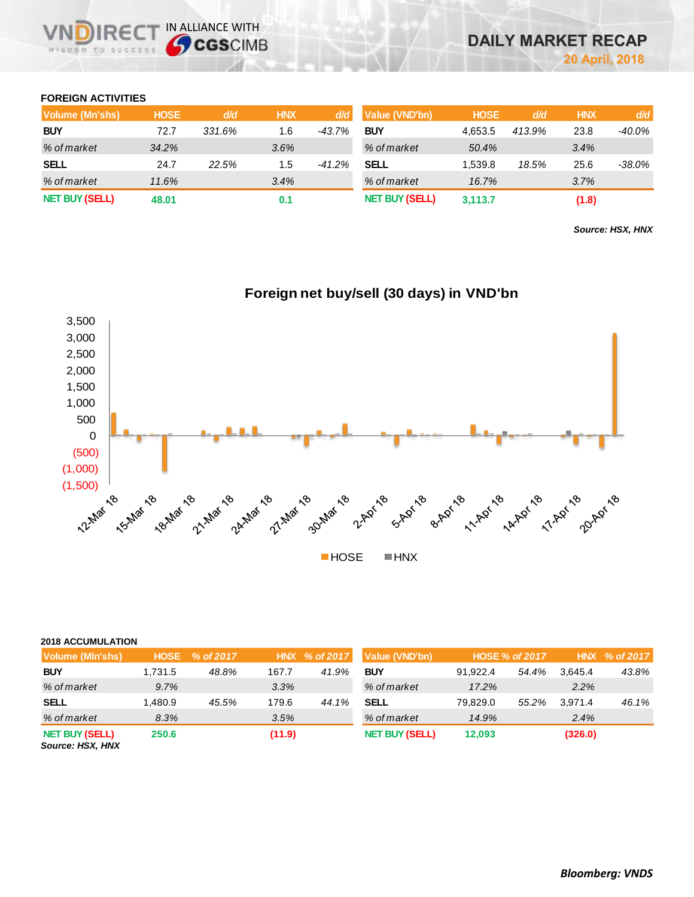## **FOREIGN ACTIVITIES**

| Volume (Mn'shs)       | <b>HOSE</b> | d/d    | <b>HNX</b> | d/d      | Value (VND'bn)        | <b>HOSE</b> | d/d    | <b>HNX</b> | d/d       |
|-----------------------|-------------|--------|------------|----------|-----------------------|-------------|--------|------------|-----------|
| <b>BUY</b>            | 72.7        | 331.6% | 1.6        | -43.7%   | <b>BUY</b>            | 4.653.5     | 413.9% | 23.8       | -40.0%    |
| % of market           | 34.2%       |        | 3.6%       |          | % of market           | 50.4%       |        | 3.4%       |           |
| <b>SELL</b>           | 24.7        | 22.5%  | 1.5        | $-41.2%$ | <b>SELL</b>           | 1.539.8     | 18.5%  | 25.6       | $-38.0\%$ |
| % of market           | 11.6%       |        | 3.4%       |          | % of market           | 16.7%       |        | 3.7%       |           |
| <b>NET BUY (SELL)</b> | 48.01       |        | 0.1        |          | <b>NET BUY (SELL)</b> | 3,113.7     |        | (1.8)      |           |

*Source: HSX, HNX*



# **Foreign net buy/sell (30 days) in VND'bn**

| <b>2018 ACCUMULATION</b>                         |             |           |        |               |                       |          |                       |         |               |
|--------------------------------------------------|-------------|-----------|--------|---------------|-----------------------|----------|-----------------------|---------|---------------|
| <b>Volume (MIn'shs)</b>                          | <b>HOSE</b> | % of 2017 |        | HNX % of 2017 | Value (VND'bn)        |          | <b>HOSE % of 2017</b> |         | HNX % of 2017 |
| <b>BUY</b>                                       | 1.731.5     | 48.8%     | 167.7  | 41.9%         | <b>BUY</b>            | 91.922.4 | 54.4%                 | 3.645.4 | 43.8%         |
| % of market                                      | 9.7%        |           | 3.3%   |               | % of market           | 17.2%    |                       | 2.2%    |               |
| <b>SELL</b>                                      | 1.480.9     | 45.5%     | 179.6  | 44.1%         | <b>SELL</b>           | 79.829.0 | 55.2%                 | 3.971.4 | 46.1%         |
| % of market                                      | 8.3%        |           | 3.5%   |               | % of market           | 14.9%    |                       | 2.4%    |               |
| <b>NET BUY (SELL)</b><br><b>Source: HSX, HNX</b> | 250.6       |           | (11.9) |               | <b>NET BUY (SELL)</b> | 12,093   |                       | (326.0) |               |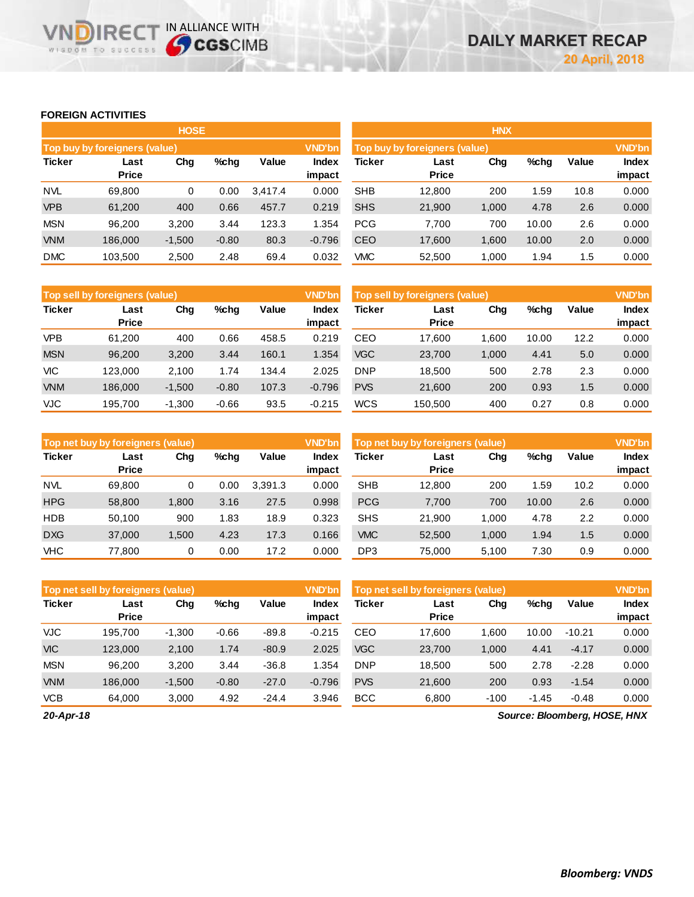## **FOREIGN ACTIVITIES**

WISDOM TO SUCCESS

**VNDIRECT IN ALLIANCE WITH** 

|               |                               | <b>HOSE</b> |         |         |                 | <b>HNX</b>    |                               |       |       |       |                        |
|---------------|-------------------------------|-------------|---------|---------|-----------------|---------------|-------------------------------|-------|-------|-------|------------------------|
|               | Top buy by foreigners (value) |             |         |         | <b>VND'bn</b>   |               | Top buy by foreigners (value) |       |       |       | <b>VND'bn</b>          |
| <b>Ticker</b> | Last<br><b>Price</b>          | Chg         | %chg    | Value   | Index<br>impact | <b>Ticker</b> | Last<br><b>Price</b>          | Chg   | %chg  | Value | <b>Index</b><br>impact |
| <b>NVL</b>    | 69,800                        | 0           | 0.00    | 3.417.4 | 0.000           | <b>SHB</b>    | 12,800                        | 200   | . 59  | 10.8  | 0.000                  |
| <b>VPB</b>    | 61,200                        | 400         | 0.66    | 457.7   | 0.219           | <b>SHS</b>    | 21,900                        | 1,000 | 4.78  | 2.6   | 0.000                  |
| <b>MSN</b>    | 96,200                        | 3,200       | 3.44    | 123.3   | 1.354           | <b>PCG</b>    | 7,700                         | 700   | 10.00 | 2.6   | 0.000                  |
| <b>VNM</b>    | 186,000                       | $-1,500$    | $-0.80$ | 80.3    | $-0.796$        | CEO           | 17,600                        | 1,600 | 10.00 | 2.0   | 0.000                  |
| <b>DMC</b>    | 103,500                       | 2,500       | 2.48    | 69.4    | 0.032           | <b>VMC</b>    | 52,500                        | 1,000 | 1.94  | 1.5   | 0.000                  |

|            | <b>VND'bn</b><br>Top sell by foreigners (value) |          |         |       |                 |            | Top sell by foreigners (value) |       |       |       |                        |
|------------|-------------------------------------------------|----------|---------|-------|-----------------|------------|--------------------------------|-------|-------|-------|------------------------|
| Ticker     | Last<br><b>Price</b>                            | Chg      | $%$ chg | Value | Index<br>impact | Ticker     | Last<br><b>Price</b>           | Chg   | %chg  | Value | <b>Index</b><br>impact |
| <b>VPB</b> | 61,200                                          | 400      | 0.66    | 458.5 | 0.219           | CEO        | 17.600                         | .600  | 10.00 | 12.2  | 0.000                  |
| <b>MSN</b> | 96,200                                          | 3,200    | 3.44    | 160.1 | 1.354           | <b>VGC</b> | 23,700                         | 1,000 | 4.41  | 5.0   | 0.000                  |
| VIC        | 123.000                                         | 2.100    | 1.74    | 134.4 | 2.025           | <b>DNP</b> | 18,500                         | 500   | 2.78  | 2.3   | 0.000                  |
| <b>VNM</b> | 186,000                                         | $-1,500$ | $-0.80$ | 107.3 | $-0.796$        | <b>PVS</b> | 21,600                         | 200   | 0.93  | 1.5   | 0.000                  |
| VJC        | 195.700                                         | $-1.300$ | $-0.66$ | 93.5  | $-0.215$        | <b>WCS</b> | 150.500                        | 400   | 0.27  | 0.8   | 0.000                  |

|               | Top net buy by foreigners (value) |       |      |         | <b>VND'bn</b>   | Top net buy by foreigners (value) |                      |       |       |       |                        |
|---------------|-----------------------------------|-------|------|---------|-----------------|-----------------------------------|----------------------|-------|-------|-------|------------------------|
| <b>Ticker</b> | Last<br><b>Price</b>              | Chg   | %chg | Value   | Index<br>impact | <b>Ticker</b>                     | Last<br><b>Price</b> | Chg   | %chg  | Value | <b>Index</b><br>impact |
| <b>NVL</b>    | 69.800                            | 0     | 0.00 | 3.391.3 | 0.000           | <b>SHB</b>                        | 12.800               | 200   | .59   | 10.2  | 0.000                  |
| <b>HPG</b>    | 58,800                            | 1,800 | 3.16 | 27.5    | 0.998           | <b>PCG</b>                        | 7,700                | 700   | 10.00 | 2.6   | 0.000                  |
| <b>HDB</b>    | 50.100                            | 900   | 1.83 | 18.9    | 0.323           | <b>SHS</b>                        | 21,900               | 1.000 | 4.78  | 2.2   | 0.000                  |
| <b>DXG</b>    | 37,000                            | 1,500 | 4.23 | 17.3    | 0.166           | <b>VMC</b>                        | 52,500               | 1.000 | 1.94  | 1.5   | 0.000                  |
| <b>VHC</b>    | 77,800                            | 0     | 0.00 | 17.2    | 0.000           | DP3                               | 75.000               | 5.100 | 7.30  | 0.9   | 0.000                  |

|               | Top net sell by foreigners (value) |          |         |         | <b>VND'bn</b>          | Top net sell by foreigners (value) |                      |        |         |          | <b>VND'bn</b>          |  |  |
|---------------|------------------------------------|----------|---------|---------|------------------------|------------------------------------|----------------------|--------|---------|----------|------------------------|--|--|
| <b>Ticker</b> | Last<br><b>Price</b>               | Chg      | $%$ chg | Value   | <b>Index</b><br>impact | <b>Ticker</b>                      | Last<br><b>Price</b> | Chg    | %chg    | Value    | <b>Index</b><br>impact |  |  |
| <b>VJC</b>    | 195.700                            | $-1,300$ | $-0.66$ | $-89.8$ | $-0.215$               | CEO                                | 17.600               | 1.600  | 10.00   | $-10.21$ | 0.000                  |  |  |
| <b>VIC</b>    | 123,000                            | 2,100    | 1.74    | $-80.9$ | 2.025                  | <b>VGC</b>                         | 23,700               | 1,000  | 4.41    | $-4.17$  | 0.000                  |  |  |
| <b>MSN</b>    | 96.200                             | 3.200    | 3.44    | $-36.8$ | 1.354                  | <b>DNP</b>                         | 18.500               | 500    | 2.78    | $-2.28$  | 0.000                  |  |  |
| <b>VNM</b>    | 186,000                            | $-1,500$ | $-0.80$ | $-27.0$ | $-0.796$               | <b>PVS</b>                         | 21,600               | 200    | 0.93    | $-1.54$  | 0.000                  |  |  |
| <b>VCB</b>    | 64.000                             | 3.000    | 4.92    | $-24.4$ | 3.946                  | <b>BCC</b>                         | 6.800                | $-100$ | $-1.45$ | $-0.48$  | 0.000                  |  |  |

*20-Apr-18*

*Source: Bloomberg, HOSE, HNX*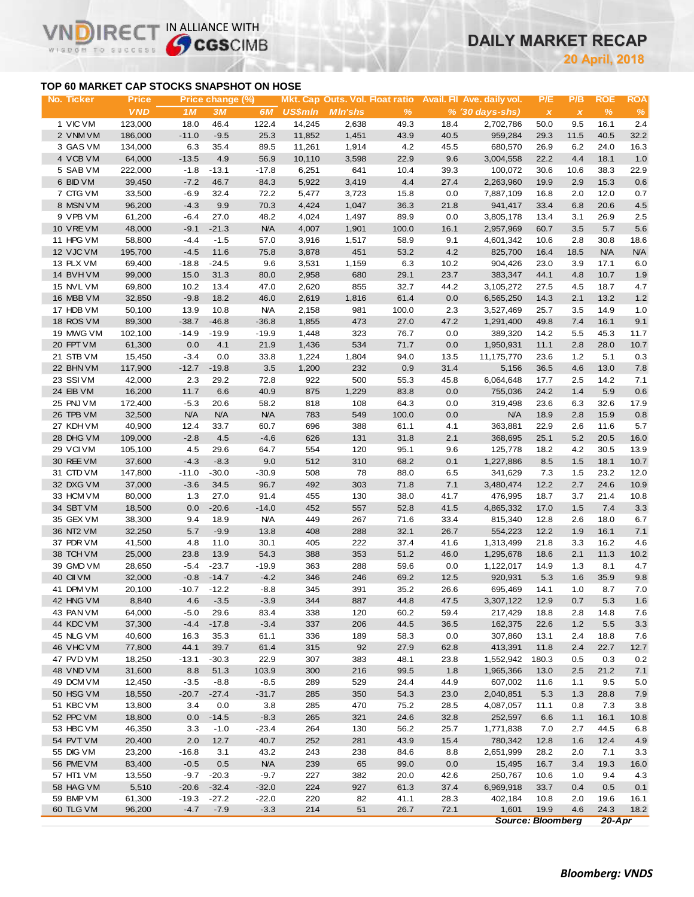# **DAILY MARKET RECAP**

**April, 2018**

## **TOP 60 MARKET CAP STOCKS SNAPSHOT ON HOSE**

 $R \in C$ 

WISDOM TO SUCCESS

 $\vee$ 

IN ALLIANCE WITH

| No. Ticker | <b>Price</b> |            | Price change (%) |            |         |                |       |      | Mkt. Cap Outs. Vol. Float ratio Avail. Fil Ave. daily vol. | P/E                       | P/B          | <b>ROE</b> | <b>ROA</b> |
|------------|--------------|------------|------------------|------------|---------|----------------|-------|------|------------------------------------------------------------|---------------------------|--------------|------------|------------|
|            | <b>VND</b>   | 1M         | 3M               | 6M         | US\$mln | <b>MIn'shs</b> | %     |      | $% (30 \, \text{days-shs})$                                | $\boldsymbol{\mathsf{x}}$ | $\pmb{\chi}$ | %          | $\%$       |
| 1 VIC VM   | 123,000      | 18.0       | 46.4             | 122.4      | 14,245  | 2,638          | 49.3  | 18.4 | 2,702,786                                                  | 50.0                      | 9.5          | 16.1       | 2.4        |
| 2 VNM VM   | 186,000      | $-11.0$    | $-9.5$           | 25.3       | 11,852  | 1,451          | 43.9  | 40.5 | 959,284                                                    | 29.3                      | 11.5         | 40.5       | 32.2       |
| 3 GAS VM   | 134,000      | 6.3        | 35.4             | 89.5       | 11,261  | 1,914          | 4.2   | 45.5 | 680,570                                                    | 26.9                      | 6.2          | 24.0       | 16.3       |
| 4 VCB VM   | 64,000       | $-13.5$    | 4.9              | 56.9       | 10,110  | 3,598          | 22.9  | 9.6  | 3,004,558                                                  | 22.2                      | 4.4          | 18.1       | 1.0        |
| 5 SAB VM   | 222,000      | $-1.8$     | $-13.1$          | $-17.8$    | 6,251   | 641            | 10.4  | 39.3 | 100,072                                                    | 30.6                      | 10.6         | 38.3       | 22.9       |
| 6 BID VM   | 39,450       | $-7.2$     | 46.7             | 84.3       | 5,922   | 3,419          | 4.4   | 27.4 | 2,263,960                                                  | 19.9                      | 2.9          | 15.3       | 0.6        |
| 7 CTG VM   | 33,500       | $-6.9$     | 32.4             | 72.2       | 5,477   | 3,723          | 15.8  | 0.0  | 7,887,109                                                  | 16.8                      | 2.0          | 12.0       | 0.7        |
| 8 MSN VM   | 96,200       | $-4.3$     | 9.9              | 70.3       | 4,424   | 1,047          | 36.3  | 21.8 | 941,417                                                    | 33.4                      | 6.8          | 20.6       | 4.5        |
| 9 VPB VM   | 61,200       | $-6.4$     | 27.0             | 48.2       | 4,024   | 1,497          | 89.9  | 0.0  | 3,805,178                                                  | 13.4                      | 3.1          | 26.9       | 2.5        |
| 10 VREVM   | 48,000       | $-9.1$     | $-21.3$          | <b>N/A</b> | 4,007   | 1,901          | 100.0 | 16.1 | 2,957,969                                                  | 60.7                      | 3.5          | 5.7        | 5.6        |
| 11 HPG VM  | 58,800       | $-4.4$     | $-1.5$           | 57.0       | 3,916   | 1,517          | 58.9  | 9.1  | 4,601,342                                                  | 10.6                      | 2.8          | 30.8       | 18.6       |
| 12 VJC VM  | 195,700      | $-4.5$     | 11.6             | 75.8       | 3,878   | 451            | 53.2  | 4.2  | 825,700                                                    | 16.4                      | 18.5         | <b>N/A</b> | N/A        |
| 13 PLX VM  | 69,400       | $-18.8$    | $-24.5$          | 9.6        | 3,531   | 1,159          | 6.3   | 10.2 | 904,426                                                    | 23.0                      | 3.9          | 17.1       | 6.0        |
| 14 BVHVM   | 99,000       | 15.0       | 31.3             | 80.0       | 2,958   | 680            | 29.1  | 23.7 | 383,347                                                    | 44.1                      | 4.8          | 10.7       | 1.9        |
| 15 NVL VM  | 69,800       | 10.2       | 13.4             | 47.0       | 2,620   | 855            | 32.7  | 44.2 | 3,105,272                                                  | 27.5                      | 4.5          | 18.7       | 4.7        |
| 16 MBB VM  | 32,850       | $-9.8$     | 18.2             | 46.0       | 2,619   | 1,816          | 61.4  | 0.0  | 6,565,250                                                  | 14.3                      | 2.1          | 13.2       | 1.2        |
| 17 HDB VM  | 50,100       | 13.9       | 10.8             | <b>N/A</b> | 2,158   | 981            | 100.0 | 2.3  | 3,527,469                                                  | 25.7                      | 3.5          | 14.9       | 1.0        |
| 18 ROS VM  | 89,300       | $-38.7$    | $-46.8$          | $-36.8$    | 1,855   | 473            | 27.0  | 47.2 | 1,291,400                                                  | 49.8                      | 7.4          | 16.1       | 9.1        |
| 19 MWG VM  | 102,100      | $-14.9$    | $-19.9$          | $-19.9$    | 1,448   | 323            | 76.7  | 0.0  | 389,320                                                    | 14.2                      | 5.5          | 45.3       | 11.7       |
| 20 FPT VM  | 61,300       | 0.0        | 4.1              | 21.9       | 1,436   | 534            | 71.7  | 0.0  | 1,950,931                                                  | 11.1                      | 2.8          | 28.0       | 10.7       |
| 21 STB VM  | 15,450       | $-3.4$     | 0.0              | 33.8       | 1,224   | 1,804          | 94.0  | 13.5 | 11,175,770                                                 | 23.6                      | $1.2$        | 5.1        | 0.3        |
| 22 BHN VM  | 117,900      | $-12.7$    | $-19.8$          | 3.5        | 1,200   | 232            | 0.9   | 31.4 | 5,156                                                      | 36.5                      | 4.6          | 13.0       | 7.8        |
| 23 SSIVM   | 42,000       | 2.3        | 29.2             | 72.8       | 922     | 500            | 55.3  | 45.8 | 6,064,648                                                  | 17.7                      | 2.5          | 14.2       | 7.1        |
| 24 EIB VM  | 16,200       | 11.7       | 6.6              | 40.9       | 875     | 1,229          | 83.8  | 0.0  | 755,036                                                    | 24.2                      | 1.4          | 5.9        | 0.6        |
| 25 PNJ VM  | 172,400      | $-5.3$     | 20.6             | 58.2       | 818     | 108            | 64.3  | 0.0  | 319,498                                                    | 23.6                      | 6.3          | 32.6       | 17.9       |
| 26 TPB VM  | 32,500       | <b>N/A</b> | <b>N/A</b>       | <b>N/A</b> | 783     | 549            | 100.0 | 0.0  | <b>N/A</b>                                                 | 18.9                      | 2.8          | 15.9       | 0.8        |
| 27 KDH VM  | 40,900       | 12.4       | 33.7             | 60.7       | 696     | 388            | 61.1  | 4.1  | 363,881                                                    | 22.9                      | 2.6          | 11.6       | 5.7        |
| 28 DHG VM  | 109,000      | $-2.8$     | 4.5              | $-4.6$     | 626     | 131            | 31.8  | 2.1  | 368,695                                                    | 25.1                      | 5.2          | 20.5       | 16.0       |
| 29 VCIVM   | 105,100      | 4.5        | 29.6             | 64.7       | 554     | 120            | 95.1  | 9.6  | 125,778                                                    | 18.2                      | 4.2          | 30.5       | 13.9       |
| 30 REE VM  | 37,600       | $-4.3$     | $-8.3$           | 9.0        | 512     | 310            | 68.2  | 0.1  | 1,227,886                                                  | 8.5                       | 1.5          | 18.1       | 10.7       |
| 31 CTD VM  | 147,800      | $-11.0$    | $-30.0$          | $-30.9$    | 508     | 78             | 88.0  | 6.5  | 341,629                                                    | 7.3                       | 1.5          | 23.2       | 12.0       |
| 32 DXG VM  | 37,000       | $-3.6$     | 34.5             | 96.7       | 492     | 303            | 71.8  | 7.1  | 3,480,474                                                  | 12.2                      | 2.7          | 24.6       | 10.9       |
| 33 HCM VM  | 80,000       | 1.3        | 27.0             | 91.4       | 455     | 130            | 38.0  | 41.7 | 476,995                                                    | 18.7                      | 3.7          | 21.4       | 10.8       |
| 34 SBT VM  | 18,500       | 0.0        | $-20.6$          | $-14.0$    | 452     | 557            | 52.8  | 41.5 | 4,865,332                                                  | 17.0                      | 1.5          | 7.4        | 3.3        |
| 35 GEX VM  | 38,300       | 9.4        | 18.9             | <b>N/A</b> | 449     | 267            | 71.6  | 33.4 | 815,340                                                    | 12.8                      | 2.6          | 18.0       | 6.7        |
| 36 NT2 VM  | 32,250       | 5.7        | $-9.9$           | 13.8       | 408     | 288            | 32.1  | 26.7 | 554,223                                                    | 12.2                      | 1.9          | 16.1       | 7.1        |
| 37 PDR VM  | 41,500       | 4.8        | 11.0             | 30.1       | 405     | 222            | 37.4  | 41.6 | 1,313,499                                                  | 21.8                      | 3.3          | 16.2       | 4.6        |
| 38 TCH VM  | 25,000       | 23.8       | 13.9             | 54.3       | 388     | 353            | 51.2  | 46.0 | 1,295,678                                                  | 18.6                      | 2.1          | 11.3       | 10.2       |
| 39 GMD VM  | 28,650       | $-5.4$     | $-23.7$          | $-19.9$    | 363     | 288            | 59.6  | 0.0  | 1,122,017                                                  | 14.9                      | 1.3          | 8.1        | 4.7        |
| 40 CII VM  | 32,000       | $-0.8$     | $-14.7$          | $-4.2$     | 346     | 246            | 69.2  | 12.5 | 920,931                                                    | 5.3                       | 1.6          | 35.9       | 9.8        |
| 41 DPM VM  | 20,100       | $-10.7$    | $-12.2$          | $-8.8$     | 345     | 391            | 35.2  | 26.6 | 695,469                                                    | 14.1                      | 1.0          | 8.7        | 7.0        |
| 42 HNG VM  | 8,840        | 4.6        | $-3.5$           | $-3.9$     | 344     | 887            | 44.8  | 47.5 | 3,307,122                                                  | 12.9                      | 0.7          | 5.3        | 1.6        |
| 43 PAN VM  | 64,000       | $-5.0$     | 29.6             | 83.4       | 338     | 120            | 60.2  | 59.4 | 217,429                                                    | 18.8                      | 2.8          | 14.8       | 7.6        |
| 44 KDC VM  | 37,300       | $-4.4$     | $-17.8$          | $-3.4$     | 337     | 206            | 44.5  | 36.5 | 162,375                                                    | 22.6                      | 1.2          | 5.5        | 3.3        |
| 45 NLG VM  | 40,600       | 16.3       | 35.3             | 61.1       | 336     | 189            | 58.3  | 0.0  | 307,860                                                    | 13.1                      | 2.4          | 18.8       | 7.6        |
| 46 VHC VM  | 77,800       | 44.1       | 39.7             | 61.4       | 315     | 92             | 27.9  | 62.8 | 413,391                                                    | 11.8                      | 2.4          | 22.7       | 12.7       |
| 47 PVD VM  | 18,250       | $-13.1$    | $-30.3$          | 22.9       | 307     | 383            | 48.1  | 23.8 | 1,552,942                                                  | 180.3                     | 0.5          | 0.3        | 0.2        |
| 48 VND VM  | 31,600       | 8.8        | 51.3             | 103.9      | 300     | 216            | 99.5  | 1.8  | 1,965,366                                                  | 13.0                      | 2.5          | 21.2       | 7.1        |
| 49 DCM VM  | 12,450       | $-3.5$     | $-8.8$           | $-8.5$     | 289     | 529            | 24.4  | 44.9 | 607,002                                                    | 11.6                      | 1.1          | 9.5        | 5.0        |
| 50 HSG VM  | 18,550       | $-20.7$    | $-27.4$          | $-31.7$    | 285     | 350            | 54.3  | 23.0 | 2,040,851                                                  | 5.3                       | 1.3          | 28.8       | 7.9        |
| 51 KBC VM  | 13,800       | 3.4        | 0.0              | 3.8        | 285     | 470            | 75.2  | 28.5 | 4,087,057                                                  | 11.1                      | 0.8          | 7.3        | 3.8        |
| 52 PPC VM  | 18,800       | 0.0        | $-14.5$          | $-8.3$     | 265     | 321            | 24.6  | 32.8 | 252,597                                                    | 6.6                       | 1.1          | 16.1       | 10.8       |
| 53 HBC VM  | 46,350       | 3.3        | $-1.0$           | $-23.4$    | 264     | 130            | 56.2  | 25.7 | 1,771,838                                                  | 7.0                       | 2.7          | 44.5       | 6.8        |
| 54 PVT VM  | 20,400       | 2.0        | 12.7             | 40.7       | 252     | 281            | 43.9  | 15.4 | 780,342                                                    | 12.8                      | 1.6          | 12.4       | 4.9        |
| 55 DIG VM  | 23,200       | $-16.8$    | 3.1              | 43.2       | 243     | 238            | 84.6  | 8.8  | 2,651,999                                                  | 28.2                      | 2.0          | 7.1        | 3.3        |
| 56 PME VM  | 83,400       | $-0.5$     | 0.5              | <b>N/A</b> | 239     | 65             | 99.0  | 0.0  | 15,495                                                     | 16.7                      | 3.4          | 19.3       | 16.0       |
| 57 HT1 VM  | 13,550       | $-9.7$     | $-20.3$          | $-9.7$     | 227     | 382            | 20.0  | 42.6 | 250,767                                                    | 10.6                      | 1.0          | 9.4        | 4.3        |
| 58 HAG VM  | 5,510        | $-20.6$    | $-32.4$          | $-32.0$    | 224     | 927            | 61.3  | 37.4 | 6,969,918                                                  | 33.7                      | 0.4          | 0.5        | 0.1        |
| 59 BMP VM  | 61,300       | $-19.3$    | $-27.2$          | $-22.0$    | 220     | 82             | 41.1  | 28.3 | 402,184                                                    | 10.8                      | 2.0          | 19.6       | 16.1       |
| 60 TLG VM  | 96,200       | $-4.7$     | $-7.9$           | $-3.3$     | 214     | 51             | 26.7  | 72.1 | 1,601                                                      | 19.9                      | 4.6          | 24.3       | 18.2       |
|            |              |            |                  |            |         |                |       |      | <b>Source: Bloomberg</b>                                   |                           |              | $20 - Apr$ |            |